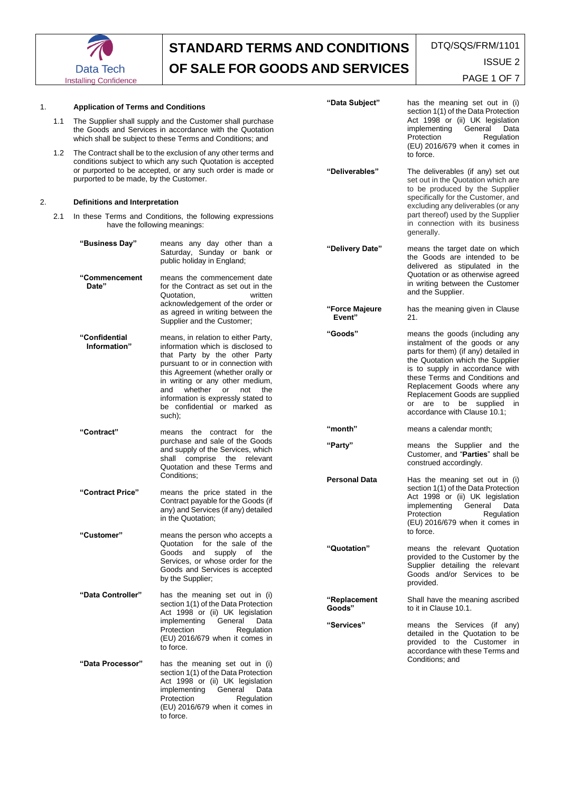

| 1. | 1.1 | <b>Application of Terms and Conditions</b><br>The Supplier shall supply and the Customer shall purchase<br>the Goods and Services in accordance with the Quotation<br>which shall be subject to these Terms and Conditions; and<br>The Contract shall be to the exclusion of any other terms and<br>conditions subject to which any such Quotation is accepted<br>or purported to be accepted, or any such order is made or<br>purported to be made, by the Customer. |                                                                                                                                                                                                                                                                                                                                     | "Data Subject"           | has the meaning set out in (i)<br>section 1(1) of the Data Protection<br>Act 1998 or (ii) UK legislation<br>implementing<br>General<br>Data<br>Protection<br>Regulation<br>(EU) 2016/679 when it comes in                                                                                                                                      |
|----|-----|-----------------------------------------------------------------------------------------------------------------------------------------------------------------------------------------------------------------------------------------------------------------------------------------------------------------------------------------------------------------------------------------------------------------------------------------------------------------------|-------------------------------------------------------------------------------------------------------------------------------------------------------------------------------------------------------------------------------------------------------------------------------------------------------------------------------------|--------------------------|------------------------------------------------------------------------------------------------------------------------------------------------------------------------------------------------------------------------------------------------------------------------------------------------------------------------------------------------|
|    | 1.2 |                                                                                                                                                                                                                                                                                                                                                                                                                                                                       |                                                                                                                                                                                                                                                                                                                                     | "Deliverables"           | to force.<br>The deliverables (if any) set out<br>set out in the Quotation which are<br>to be produced by the Supplier                                                                                                                                                                                                                         |
| 2. |     | Definitions and Interpretation                                                                                                                                                                                                                                                                                                                                                                                                                                        |                                                                                                                                                                                                                                                                                                                                     |                          | specifically for the Customer, and<br>excluding any deliverables (or any                                                                                                                                                                                                                                                                       |
|    | 2.1 | In these Terms and Conditions, the following expressions<br>have the following meanings:                                                                                                                                                                                                                                                                                                                                                                              |                                                                                                                                                                                                                                                                                                                                     |                          | part thereof) used by the Supplier<br>in connection with its business<br>generally.                                                                                                                                                                                                                                                            |
|    |     | "Business Day"<br>"Commencement                                                                                                                                                                                                                                                                                                                                                                                                                                       | means any day other than a<br>Saturday, Sunday or bank or<br>public holiday in England;<br>means the commencement date                                                                                                                                                                                                              | "Delivery Date"          | means the target date on which<br>the Goods are intended to be<br>delivered as stipulated in the<br>Quotation or as otherwise agreed                                                                                                                                                                                                           |
|    |     | Date"                                                                                                                                                                                                                                                                                                                                                                                                                                                                 | for the Contract as set out in the<br>Quotation,<br>written<br>acknowledgement of the order or<br>as agreed in writing between the<br>Supplier and the Customer;                                                                                                                                                                    |                          | in writing between the Customer<br>and the Supplier.                                                                                                                                                                                                                                                                                           |
|    |     |                                                                                                                                                                                                                                                                                                                                                                                                                                                                       |                                                                                                                                                                                                                                                                                                                                     | "Force Majeure<br>Event" | has the meaning given in Clause<br>21.                                                                                                                                                                                                                                                                                                         |
|    |     | "Confidential<br>Information"                                                                                                                                                                                                                                                                                                                                                                                                                                         | means, in relation to either Party,<br>information which is disclosed to<br>that Party by the other Party<br>pursuant to or in connection with<br>this Agreement (whether orally or<br>in writing or any other medium,<br>and whether or not<br>the<br>information is expressly stated to<br>be confidential or marked as<br>such); | "Goods"                  | means the goods (including any<br>instalment of the goods or any<br>parts for them) (if any) detailed in<br>the Quotation which the Supplier<br>is to supply in accordance with<br>these Terms and Conditions and<br>Replacement Goods where any<br>Replacement Goods are supplied<br>or are to be supplied in<br>accordance with Clause 10.1; |
|    |     | "Contract"                                                                                                                                                                                                                                                                                                                                                                                                                                                            | means the contract for the<br>purchase and sale of the Goods<br>and supply of the Services, which<br>shall comprise the relevant<br>Quotation and these Terms and                                                                                                                                                                   | "month"                  | means a calendar month;                                                                                                                                                                                                                                                                                                                        |
|    |     |                                                                                                                                                                                                                                                                                                                                                                                                                                                                       |                                                                                                                                                                                                                                                                                                                                     | "Party"                  | means the Supplier and the<br>Customer, and "Parties" shall be<br>construed accordingly.                                                                                                                                                                                                                                                       |
|    |     | "Contract Price"                                                                                                                                                                                                                                                                                                                                                                                                                                                      | Conditions;<br>means the price stated in the<br>Contract payable for the Goods (if<br>any) and Services (if any) detailed<br>in the Quotation;                                                                                                                                                                                      | <b>Personal Data</b>     | Has the meaning set out in (i)<br>section 1(1) of the Data Protection<br>Act 1998 or (ii) UK legislation<br>implementing<br>General<br>Data<br>Protection<br>Regulation<br>(EU) 2016/679 when it comes in<br>to force.                                                                                                                         |
|    |     | "Customer"                                                                                                                                                                                                                                                                                                                                                                                                                                                            | means the person who accepts a<br>Quotation for the sale of the<br>Goods and supply of the<br>Services, or whose order for the<br>Goods and Services is accepted<br>by the Supplier;                                                                                                                                                | "Quotation"              | means the relevant Quotation<br>provided to the Customer by the<br>Supplier detailing the relevant<br>Goods and/or Services to be<br>provided.                                                                                                                                                                                                 |
|    |     | "Data Controller"                                                                                                                                                                                                                                                                                                                                                                                                                                                     | has the meaning set out in (i)<br>section 1(1) of the Data Protection<br>Act 1998 or (ii) UK legislation<br>implementing General<br>Data<br>Protection<br>Regulation<br>(EU) 2016/679 when it comes in<br>to force.                                                                                                                 | "Replacement<br>Goods"   | Shall have the meaning ascribed<br>to it in Clause 10.1.                                                                                                                                                                                                                                                                                       |
|    |     |                                                                                                                                                                                                                                                                                                                                                                                                                                                                       |                                                                                                                                                                                                                                                                                                                                     | "Services"               | means the Services (if any)<br>detailed in the Quotation to be<br>provided to the Customer in<br>accordance with these Terms and                                                                                                                                                                                                               |
|    |     | "Data Processor"                                                                                                                                                                                                                                                                                                                                                                                                                                                      | has the meaning set out in (i)<br>section 1(1) of the Data Protection<br>Act 1998 or (ii) UK legislation<br>implementing General<br>Data<br>Protection<br>Regulation<br>(EU) 2016/679 when it comes in<br>to force.                                                                                                                 |                          | Conditions; and                                                                                                                                                                                                                                                                                                                                |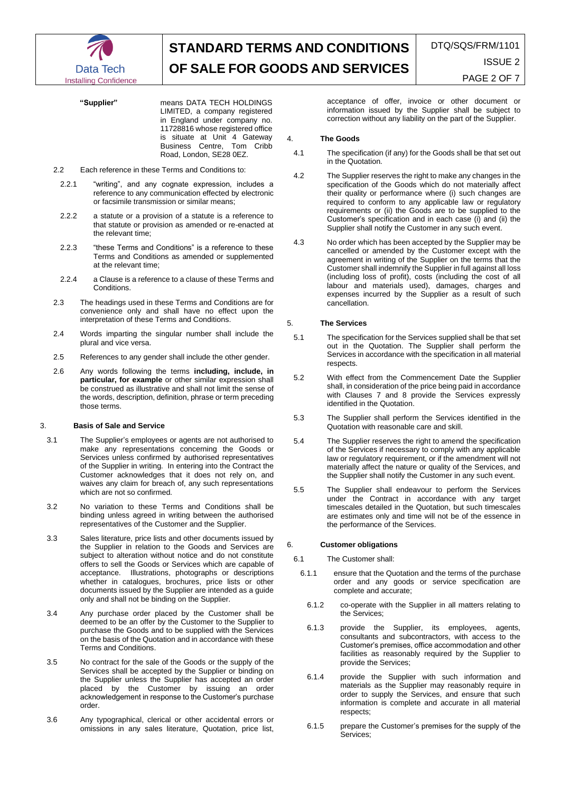

**"Supplier"** means DATA TECH HOLDINGS LIMITED, a company registered in England under company no. 11728816 whose registered office is situate at Unit 4 Gateway Business Centre, Tom Cribb Road, London, SE28 0EZ.

- 2.2 Each reference in these Terms and Conditions to:
- 2.2.1 "writing", and any cognate expression, includes a reference to any communication effected by electronic or facsimile transmission or similar means;
- 2.2.2 a statute or a provision of a statute is a reference to that statute or provision as amended or re-enacted at the relevant time;
- 2.2.3 "these Terms and Conditions" is a reference to these Terms and Conditions as amended or supplemented at the relevant time;
- 2.2.4 a Clause is a reference to a clause of these Terms and Conditions.
- 2.3 The headings used in these Terms and Conditions are for convenience only and shall have no effect upon the interpretation of these Terms and Conditions.
- 2.4 Words imparting the singular number shall include the plural and vice versa.
- 2.5 References to any gender shall include the other gender.
- 2.6 Any words following the terms **including, include, in particular, for example** or other similar expression shall be construed as illustrative and shall not limit the sense of the words, description, definition, phrase or term preceding those terms.

### 3. **Basis of Sale and Service**

- 3.1 The Supplier's employees or agents are not authorised to make any representations concerning the Goods or Services unless confirmed by authorised representatives of the Supplier in writing. In entering into the Contract the Customer acknowledges that it does not rely on, and waives any claim for breach of, any such representations which are not so confirmed.
- 3.2 No variation to these Terms and Conditions shall be binding unless agreed in writing between the authorised representatives of the Customer and the Supplier.
- 3.3 Sales literature, price lists and other documents issued by the Supplier in relation to the Goods and Services are subject to alteration without notice and do not constitute offers to sell the Goods or Services which are capable of acceptance. Illustrations, photographs or descriptions whether in catalogues, brochures, price lists or other documents issued by the Supplier are intended as a guide only and shall not be binding on the Supplier.
- 3.4 Any purchase order placed by the Customer shall be deemed to be an offer by the Customer to the Supplier to purchase the Goods and to be supplied with the Services on the basis of the Quotation and in accordance with these Terms and Conditions.
- 3.5 No contract for the sale of the Goods or the supply of the Services shall be accepted by the Supplier or binding on the Supplier unless the Supplier has accepted an order placed by the Customer by issuing an order acknowledgement in response to the Customer's purchase order.
- 3.6 Any typographical, clerical or other accidental errors or omissions in any sales literature, Quotation, price list,

acceptance of offer, invoice or other document or information issued by the Supplier shall be subject to correction without any liability on the part of the Supplier.

### 4. **The Goods**

- 4.1 The specification (if any) for the Goods shall be that set out in the Quotation.
- 4.2 The Supplier reserves the right to make any changes in the specification of the Goods which do not materially affect their quality or performance where (i) such changes are required to conform to any applicable law or regulatory requirements or (ii) the Goods are to be supplied to the Customer's specification and in each case (i) and (ii) the Supplier shall notify the Customer in any such event.
- 4.3 No order which has been accepted by the Supplier may be cancelled or amended by the Customer except with the agreement in writing of the Supplier on the terms that the Customer shall indemnify the Supplier in full against all loss (including loss of profit), costs (including the cost of all labour and materials used), damages, charges and expenses incurred by the Supplier as a result of such cancellation.

## 5. **The Services**

- 5.1 The specification for the Services supplied shall be that set out in the Quotation. The Supplier shall perform the Services in accordance with the specification in all material respects.
- 5.2 With effect from the Commencement Date the Supplier shall, in consideration of the price being paid in accordance with Clauses 7 and 8 provide the Services expressly identified in the Quotation.
- 5.3 The Supplier shall perform the Services identified in the Quotation with reasonable care and skill.
- 5.4 The Supplier reserves the right to amend the specification of the Services if necessary to comply with any applicable law or regulatory requirement, or if the amendment will not materially affect the nature or quality of the Services, and the Supplier shall notify the Customer in any such event.
- 5.5 The Supplier shall endeavour to perform the Services under the Contract in accordance with any target timescales detailed in the Quotation, but such timescales are estimates only and time will not be of the essence in the performance of the Services.

## 6. **Customer obligations**

- 6.1 The Customer shall:
	- 6.1.1 ensure that the Quotation and the terms of the purchase order and any goods or service specification are complete and accurate;
	- 6.1.2 co-operate with the Supplier in all matters relating to the Services;
	- 6.1.3 provide the Supplier, its employees, agents, consultants and subcontractors, with access to the Customer's premises, office accommodation and other facilities as reasonably required by the Supplier to provide the Services;
	- 6.1.4 provide the Supplier with such information and materials as the Supplier may reasonably require in order to supply the Services, and ensure that such information is complete and accurate in all material respects;
	- 6.1.5 prepare the Customer's premises for the supply of the Services;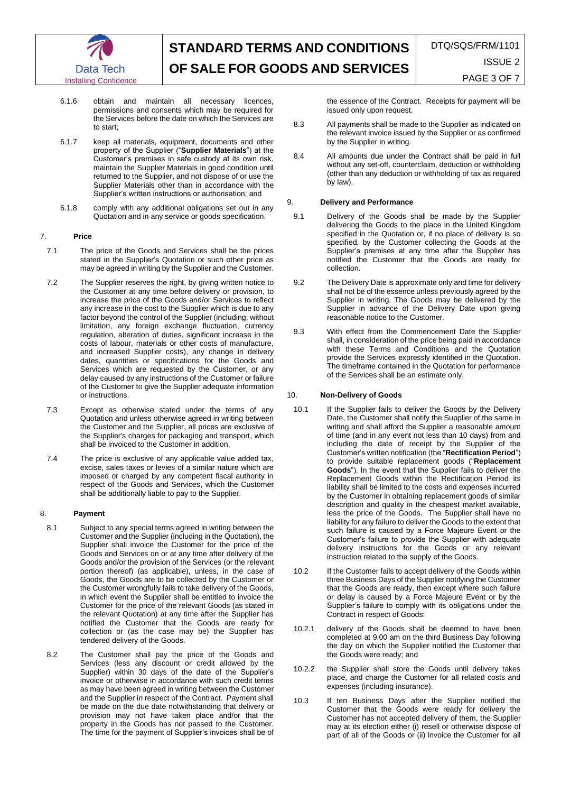

- 6.1.6 obtain and maintain all necessary licences, permissions and consents which may be required for the Services before the date on which the Services are to start;
- 6.1.7 keep all materials, equipment, documents and other property of the Supplier ("**Supplier Materials**") at the Customer's premises in safe custody at its own risk, maintain the Supplier Materials in good condition until returned to the Supplier, and not dispose of or use the Supplier Materials other than in accordance with the Supplier's written instructions or authorisation; and
- 6.1.8 comply with any additional obligations set out in any Quotation and in any service or goods specification.

## 7. **Price**

- 7.1 The price of the Goods and Services shall be the prices stated in the Supplier's Quotation or such other price as may be agreed in writing by the Supplier and the Customer.
- 7.2 The Supplier reserves the right, by giving written notice to the Customer at any time before delivery or provision, to increase the price of the Goods and/or Services to reflect any increase in the cost to the Supplier which is due to any factor beyond the control of the Supplier (including, without limitation, any foreign exchange fluctuation, currency regulation, alteration of duties, significant increase in the costs of labour, materials or other costs of manufacture, and increased Supplier costs), any change in delivery dates, quantities or specifications for the Goods and Services which are requested by the Customer, or any delay caused by any instructions of the Customer or failure of the Customer to give the Supplier adequate information or instructions.
- 7.3 Except as otherwise stated under the terms of any Quotation and unless otherwise agreed in writing between the Customer and the Supplier, all prices are exclusive of the Supplier's charges for packaging and transport, which shall be invoiced to the Customer in addition.
- 7.4 The price is exclusive of any applicable value added tax, excise, sales taxes or levies of a similar nature which are imposed or charged by any competent fiscal authority in respect of the Goods and Services, which the Customer shall be additionally liable to pay to the Supplier.

# 8. **Payment**

- 8.1 Subject to any special terms agreed in writing between the Customer and the Supplier (including in the Quotation), the Supplier shall invoice the Customer for the price of the Goods and Services on or at any time after delivery of the Goods and/or the provision of the Services (or the relevant portion thereof) (as applicable), unless, in the case of Goods, the Goods are to be collected by the Customer or the Customer wrongfully fails to take delivery of the Goods, in which event the Supplier shall be entitled to invoice the Customer for the price of the relevant Goods (as stated in the relevant Quotation) at any time after the Supplier has notified the Customer that the Goods are ready for collection or (as the case may be) the Supplier has tendered delivery of the Goods.
- 8.2 The Customer shall pay the price of the Goods and Services (less any discount or credit allowed by the Supplier) within 30 days of the date of the Supplier's invoice or otherwise in accordance with such credit terms as may have been agreed in writing between the Customer and the Supplier in respect of the Contract. Payment shall be made on the due date notwithstanding that delivery or provision may not have taken place and/or that the property in the Goods has not passed to the Customer. The time for the payment of Supplier's invoices shall be of

the essence of the Contract. Receipts for payment will be issued only upon request.

- 8.3 All payments shall be made to the Supplier as indicated on the relevant invoice issued by the Supplier or as confirmed by the Supplier in writing.
- 8.4 All amounts due under the Contract shall be paid in full without any set-off, counterclaim, deduction or withholding (other than any deduction or withholding of tax as required by law).

## 9. **Delivery and Performance**

- 9.1 Delivery of the Goods shall be made by the Supplier delivering the Goods to the place in the United Kingdom specified in the Quotation or, if no place of delivery is so specified, by the Customer collecting the Goods at the Supplier's premises at any time after the Supplier has notified the Customer that the Goods are ready for collection.
- 9.2 The Delivery Date is approximate only and time for delivery shall not be of the essence unless previously agreed by the Supplier in writing. The Goods may be delivered by the Supplier in advance of the Delivery Date upon giving reasonable notice to the Customer.
- 9.3 With effect from the Commencement Date the Supplier shall, in consideration of the price being paid in accordance with these Terms and Conditions and the Quotation provide the Services expressly identified in the Quotation. The timeframe contained in the Quotation for performance of the Services shall be an estimate only.

# 10. **Non-Delivery of Goods**

- 10.1 If the Supplier fails to deliver the Goods by the Delivery Date, the Customer shall notify the Supplier of the same in writing and shall afford the Supplier a reasonable amount of time (and in any event not less than 10 days) from and including the date of receipt by the Supplier of the Customer's written notification (the "**Rectification Period**") to provide suitable replacement goods ("**Replacement Goods**"). In the event that the Supplier fails to deliver the Replacement Goods within the Rectification Period its liability shall be limited to the costs and expenses incurred by the Customer in obtaining replacement goods of similar description and quality in the cheapest market available, less the price of the Goods. The Supplier shall have no liability for any failure to deliver the Goods to the extent that such failure is caused by a Force Majeure Event or the Customer's failure to provide the Supplier with adequate delivery instructions for the Goods or any relevant instruction related to the supply of the Goods.
- 10.2 If the Customer fails to accept delivery of the Goods within three Business Days of the Supplier notifying the Customer that the Goods are ready, then except where such failure or delay is caused by a Force Majeure Event or by the Supplier's failure to comply with its obligations under the Contract in respect of Goods:
- 10.2.1 delivery of the Goods shall be deemed to have been completed at 9.00 am on the third Business Day following the day on which the Supplier notified the Customer that the Goods were ready; and
- 10.2.2 the Supplier shall store the Goods until delivery takes place, and charge the Customer for all related costs and expenses (including insurance).
- 10.3 If ten Business Days after the Supplier notified the Customer that the Goods were ready for delivery the Customer has not accepted delivery of them, the Supplier may at its election either (i) resell or otherwise dispose of part of all of the Goods or (ii) invoice the Customer for all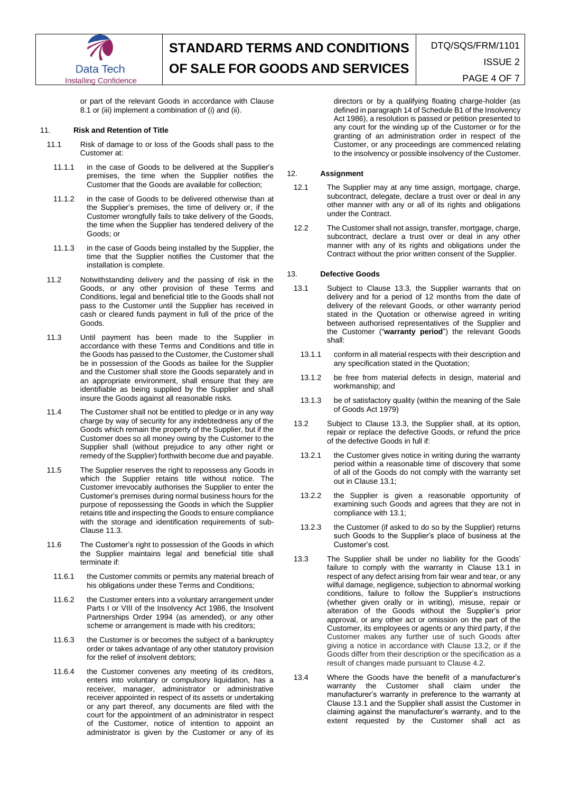

or part of the relevant Goods in accordance with Clause 8.1 or (iii) implement a combination of (i) and (ii).

## 11. **Risk and Retention of Title**

- 11.1 Risk of damage to or loss of the Goods shall pass to the Customer at:
- 11.1.1 in the case of Goods to be delivered at the Supplier's premises, the time when the Supplier notifies the Customer that the Goods are available for collection;
- 11.1.2 in the case of Goods to be delivered otherwise than at the Supplier's premises, the time of delivery or, if the Customer wrongfully fails to take delivery of the Goods, the time when the Supplier has tendered delivery of the Goods; or
- 11.1.3 in the case of Goods being installed by the Supplier, the time that the Supplier notifies the Customer that the installation is complete.
- 11.2 Notwithstanding delivery and the passing of risk in the Goods, or any other provision of these Terms and Conditions, legal and beneficial title to the Goods shall not pass to the Customer until the Supplier has received in cash or cleared funds payment in full of the price of the Goods.
- 11.3 Until payment has been made to the Supplier in accordance with these Terms and Conditions and title in the Goods has passed to the Customer, the Customer shall be in possession of the Goods as bailee for the Supplier and the Customer shall store the Goods separately and in an appropriate environment, shall ensure that they are identifiable as being supplied by the Supplier and shall insure the Goods against all reasonable risks.
- 11.4 The Customer shall not be entitled to pledge or in any way charge by way of security for any indebtedness any of the Goods which remain the property of the Supplier, but if the Customer does so all money owing by the Customer to the Supplier shall (without prejudice to any other right or remedy of the Supplier) forthwith become due and payable.
- 11.5 The Supplier reserves the right to repossess any Goods in which the Supplier retains title without notice. The Customer irrevocably authorises the Supplier to enter the Customer's premises during normal business hours for the purpose of repossessing the Goods in which the Supplier retains title and inspecting the Goods to ensure compliance with the storage and identification requirements of sub-Clause 11.3.
- 11.6 The Customer's right to possession of the Goods in which the Supplier maintains legal and beneficial title shall terminate if:
- 11.6.1 the Customer commits or permits any material breach of his obligations under these Terms and Conditions;
- 11.6.2 the Customer enters into a voluntary arrangement under Parts I or VIII of the Insolvency Act 1986, the Insolvent Partnerships Order 1994 (as amended), or any other scheme or arrangement is made with his creditors;
- 11.6.3 the Customer is or becomes the subject of a bankruptcy order or takes advantage of any other statutory provision for the relief of insolvent debtors;
- 11.6.4 the Customer convenes any meeting of its creditors, enters into voluntary or compulsory liquidation, has a receiver, manager, administrator or administrative receiver appointed in respect of its assets or undertaking or any part thereof, any documents are filed with the court for the appointment of an administrator in respect of the Customer, notice of intention to appoint an administrator is given by the Customer or any of its

directors or by a qualifying floating charge-holder (as defined in paragraph 14 of Schedule B1 of the Insolvency Act 1986), a resolution is passed or petition presented to any court for the winding up of the Customer or for the granting of an administration order in respect of the Customer, or any proceedings are commenced relating to the insolvency or possible insolvency of the Customer.

## 12. **Assignment**

- 12.1 The Supplier may at any time assign, mortgage, charge, subcontract, delegate, declare a trust over or deal in any other manner with any or all of its rights and obligations under the Contract.
- 12.2 The Customer shall not assign, transfer, mortgage, charge, subcontract, declare a trust over or deal in any other manner with any of its rights and obligations under the Contract without the prior written consent of the Supplier.

### 13. **Defective Goods**

- 13.1 Subject to Clause 13.3, the Supplier warrants that on delivery and for a period of 12 months from the date of delivery of the relevant Goods, or other warranty period stated in the Quotation or otherwise agreed in writing between authorised representatives of the Supplier and the Customer ("**warranty period**") the relevant Goods shall:
	- 13.1.1 conform in all material respects with their description and any specification stated in the Quotation;
	- 13.1.2 be free from material defects in design, material and workmanship; and
	- 13.1.3 be of satisfactory quality (within the meaning of the Sale of Goods Act 1979)
- 13.2 Subject to Clause 13.3, the Supplier shall, at its option, repair or replace the defective Goods, or refund the price of the defective Goods in full if:
	- 13.2.1 the Customer gives notice in writing during the warranty period within a reasonable time of discovery that some of all of the Goods do not comply with the warranty set out in Clause 13.1;
	- 13.2.2 the Supplier is given a reasonable opportunity of examining such Goods and agrees that they are not in compliance with 13.1;
- 13.2.3 the Customer (if asked to do so by the Supplier) returns such Goods to the Supplier's place of business at the Customer's cost.
- 13.3 The Supplier shall be under no liability for the Goods' failure to comply with the warranty in Clause 13.1 in respect of any defect arising from fair wear and tear, or any wilful damage, negligence, subjection to abnormal working conditions, failure to follow the Supplier's instructions (whether given orally or in writing), misuse, repair or alteration of the Goods without the Supplier's prior approval, or any other act or omission on the part of the Customer, its employees or agents or any third party, if the Customer makes any further use of such Goods after giving a notice in accordance with Clause 13.2, or if the Goods differ from their description or the specification as a result of changes made pursuant to Clause 4.2.
- 13.4 Where the Goods have the benefit of a manufacturer's warranty the Customer shall claim under the manufacturer's warranty in preference to the warranty at Clause 13.1 and the Supplier shall assist the Customer in claiming against the manufacturer's warranty, and to the extent requested by the Customer shall act as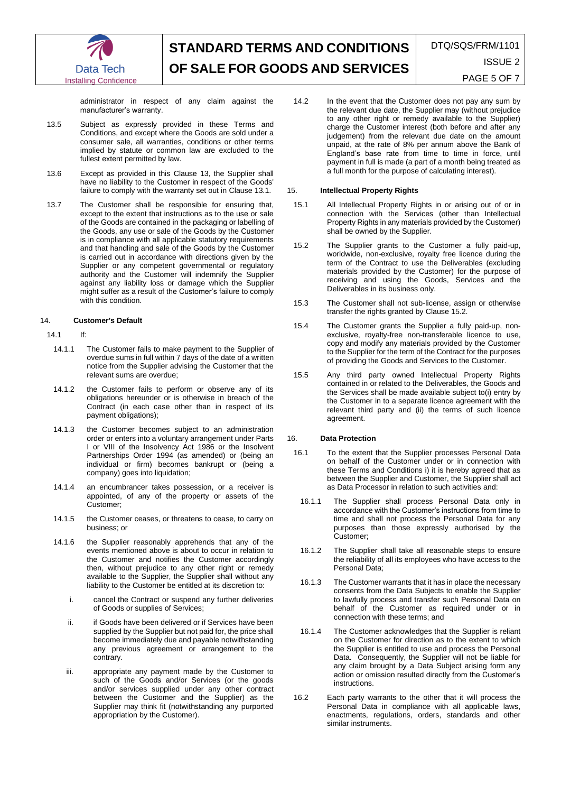

administrator in respect of any claim against the manufacturer's warranty.

- 13.5 Subject as expressly provided in these Terms and Conditions, and except where the Goods are sold under a consumer sale, all warranties, conditions or other terms implied by statute or common law are excluded to the fullest extent permitted by law.
- 13.6 Except as provided in this Clause 13, the Supplier shall have no liability to the Customer in respect of the Goods' failure to comply with the warranty set out in Clause 13.1.
- 13.7 The Customer shall be responsible for ensuring that, except to the extent that instructions as to the use or sale of the Goods are contained in the packaging or labelling of the Goods, any use or sale of the Goods by the Customer is in compliance with all applicable statutory requirements and that handling and sale of the Goods by the Customer is carried out in accordance with directions given by the Supplier or any competent governmental or regulatory authority and the Customer will indemnify the Supplier against any liability loss or damage which the Supplier might suffer as a result of the Customer's failure to comply with this condition.

## 14. **Customer's Default**

## 14.1 If:

- 14.1.1 The Customer fails to make payment to the Supplier of overdue sums in full within 7 days of the date of a written notice from the Supplier advising the Customer that the relevant sums are overdue;
- 14.1.2 the Customer fails to perform or observe any of its obligations hereunder or is otherwise in breach of the Contract (in each case other than in respect of its payment obligations);
- 14.1.3 the Customer becomes subject to an administration order or enters into a voluntary arrangement under Parts I or VIII of the Insolvency Act 1986 or the Insolvent Partnerships Order 1994 (as amended) or (being an individual or firm) becomes bankrupt or (being a company) goes into liquidation;
- 14.1.4 an encumbrancer takes possession, or a receiver is appointed, of any of the property or assets of the Customer;
- 14.1.5 the Customer ceases, or threatens to cease, to carry on business; or
- 14.1.6 the Supplier reasonably apprehends that any of the events mentioned above is about to occur in relation to the Customer and notifies the Customer accordingly then, without prejudice to any other right or remedy available to the Supplier, the Supplier shall without any liability to the Customer be entitled at its discretion to:
	- i. cancel the Contract or suspend any further deliveries of Goods or supplies of Services;
	- ii. if Goods have been delivered or if Services have been supplied by the Supplier but not paid for, the price shall become immediately due and payable notwithstanding any previous agreement or arrangement to the contrary.
	- iii. appropriate any payment made by the Customer to such of the Goods and/or Services (or the goods and/or services supplied under any other contract between the Customer and the Supplier) as the Supplier may think fit (notwithstanding any purported appropriation by the Customer).

14.2 In the event that the Customer does not pay any sum by the relevant due date, the Supplier may (without prejudice to any other right or remedy available to the Supplier) charge the Customer interest (both before and after any judgement) from the relevant due date on the amount unpaid, at the rate of 8% per annum above the Bank of England's base rate from time to time in force, until payment in full is made (a part of a month being treated as a full month for the purpose of calculating interest).

# 15. **Intellectual Property Rights**

- 15.1 All Intellectual Property Rights in or arising out of or in connection with the Services (other than Intellectual Property Rights in any materials provided by the Customer) shall be owned by the Supplier.
- <span id="page-4-0"></span>15.2 The Supplier grants to the Customer a fully paid-up, worldwide, non-exclusive, royalty free licence during the term of the Contract to use the Deliverables (excluding materials provided by the Customer) for the purpose of receiving and using the Goods, Services and the Deliverables in its business only.
- 15.3 The Customer shall not sub-license, assign or otherwise transfer the rights granted by Clause [15.2.](#page-4-0)
- 15.4 The Customer grants the Supplier a fully paid-up, nonexclusive, royalty-free non-transferable licence to use, copy and modify any materials provided by the Customer to the Supplier for the term of the Contract for the purposes of providing the Goods and Services to the Customer.
- 15.5 Any third party owned Intellectual Property Rights contained in or related to the Deliverables, the Goods and the Services shall be made available subject to(i) entry by the Customer in to a separate licence agreement with the relevant third party and (ii) the terms of such licence agreement.

# 16. **Data Protection**

- 16.1 To the extent that the Supplier processes Personal Data on behalf of the Customer under or in connection with these Terms and Conditions i) it is hereby agreed that as between the Supplier and Customer, the Supplier shall act as Data Processor in relation to such activities and:
- 16.1.1 The Supplier shall process Personal Data only in accordance with the Customer's instructions from time to time and shall not process the Personal Data for any purposes than those expressly authorised by the Customer;
- 16.1.2 The Supplier shall take all reasonable steps to ensure the reliability of all its employees who have access to the Personal Data;
- 16.1.3 The Customer warrants that it has in place the necessary consents from the Data Subjects to enable the Supplier to lawfully process and transfer such Personal Data on behalf of the Customer as required under or in connection with these terms; and
- 16.1.4 The Customer acknowledges that the Supplier is reliant on the Customer for direction as to the extent to which the Supplier is entitled to use and process the Personal Data. Consequently, the Supplier will not be liable for any claim brought by a Data Subject arising form any action or omission resulted directly from the Customer's instructions.
- 16.2 Each party warrants to the other that it will process the Personal Data in compliance with all applicable laws, enactments, regulations, orders, standards and other similar instruments.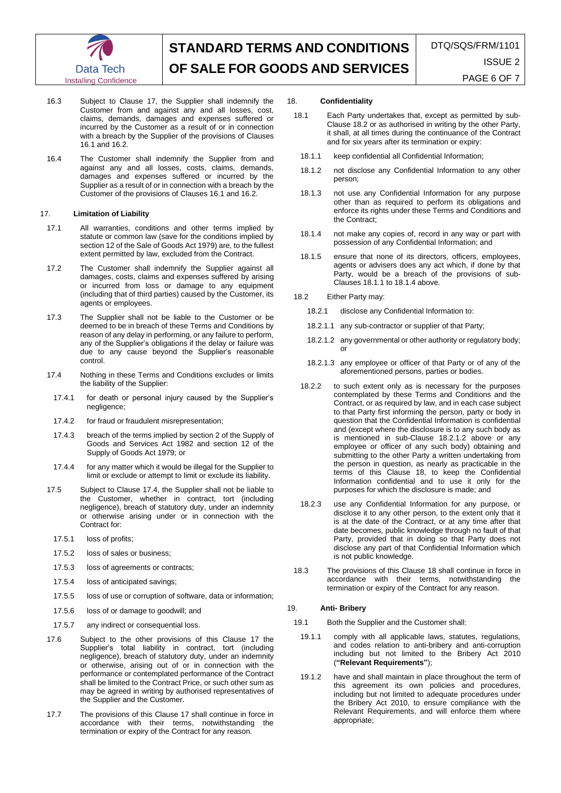

- 16.3 Subject to Clause 17, the Supplier shall indemnify the Customer from and against any and all losses, cost, claims, demands, damages and expenses suffered or incurred by the Customer as a result of or in connection with a breach by the Supplier of the provisions of Clauses 16.1 and 16.2.
- 16.4 The Customer shall indemnify the Supplier from and against any and all losses, costs, claims, demands, damages and expenses suffered or incurred by the Supplier as a result of or in connection with a breach by the Customer of the provisions of Clauses 16.1 and 16.2.

#### 17. **Limitation of Liability**

- 17.1 All warranties, conditions and other terms implied by statute or common law (save for the conditions implied by section 12 of the Sale of Goods Act 1979) are, to the fullest extent permitted by law, excluded from the Contract.
- 17.2 The Customer shall indemnify the Supplier against all damages, costs, claims and expenses suffered by arising or incurred from loss or damage to any equipment (including that of third parties) caused by the Customer, its agents or employees.
- 17.3 The Supplier shall not be liable to the Customer or be deemed to be in breach of these Terms and Conditions by reason of any delay in performing, or any failure to perform, any of the Supplier's obligations if the delay or failure was due to any cause beyond the Supplier's reasonable control.
- 17.4 Nothing in these Terms and Conditions excludes or limits the liability of the Supplier:
- 17.4.1 for death or personal injury caused by the Supplier's negligence;
- 17.4.2 for fraud or fraudulent misrepresentation;
- 17.4.3 breach of the terms implied by section 2 of the Supply of Goods and Services Act 1982 and section 12 of the Supply of Goods Act 1979; or
- 17.4.4 for any matter which it would be illegal for the Supplier to limit or exclude or attempt to limit or exclude its liability.
- 17.5 Subject to Clause 17.4, the Supplier shall not be liable to the Customer, whether in contract, tort (including negligence), breach of statutory duty, under an indemnity or otherwise arising under or in connection with the Contract for:
	- 17.5.1 loss of profits;
	- 17.5.2 loss of sales or business;
	- 17.5.3 loss of agreements or contracts;
	- 17.5.4 loss of anticipated savings;
- 17.5.5 loss of use or corruption of software, data or information;
- 17.5.6 loss of or damage to goodwill; and
- 17.5.7 any indirect or consequential loss.
- 17.6 Subject to the other provisions of this Clause 17 the Supplier's total liability in contract, tort (including negligence), breach of statutory duty, under an indemnity or otherwise, arising out of or in connection with the performance or contemplated performance of the Contract shall be limited to the Contract Price, or such other sum as may be agreed in writing by authorised representatives of the Supplier and the Customer.
- 17.7 The provisions of this Clause 17 shall continue in force in accordance with their terms, notwithstanding the termination or expiry of the Contract for any reason.

### 18. **Confidentiality**

- 18.1 Each Party undertakes that, except as permitted by sub-Claus[e 18.2](#page-5-0) or as authorised in writing by the other Party, it shall, at all times during the continuance of the Contract and for six years after its termination or expiry:
	- 18.1.1 keep confidential all Confidential Information;
	- 18.1.2 not disclose any Confidential Information to any other person;
	- 18.1.3 not use any Confidential Information for any purpose other than as required to perform its obligations and enforce its rights under these Terms and Conditions and the Contract;
	- 18.1.4 not make any copies of, record in any way or part with possession of any Confidential Information; and
	- 18.1.5 ensure that none of its directors, officers, employees, agents or advisers does any act which, if done by that Party, would be a breach of the provisions of sub-Clauses 18.1.1 to 18.1.4 above.
- <span id="page-5-0"></span>18.2 Either Party may:
	- 18.2.1 disclose any Confidential Information to:
	- 18.2.1.1 any sub-contractor or supplier of that Party;
	- 18.2.1.2 any governmental or other authority or regulatory body; or
	- 18.2.1.3 any employee or officer of that Party or of any of the aforementioned persons, parties or bodies.
	- 18.2.2 to such extent only as is necessary for the purposes contemplated by these Terms and Conditions and the Contract, or as required by law, and in each case subject to that Party first informing the person, party or body in question that the Confidential Information is confidential and (except where the disclosure is to any such body as is mentioned in sub-Clause 18.2.1.2 above or any employee or officer of any such body) obtaining and submitting to the other Party a written undertaking from the person in question, as nearly as practicable in the terms of this Clause 18, to keep the Confidential Information confidential and to use it only for the purposes for which the disclosure is made; and
- 18.2.3 use any Confidential Information for any purpose, or disclose it to any other person, to the extent only that it is at the date of the Contract, or at any time after that date becomes, public knowledge through no fault of that Party, provided that in doing so that Party does not disclose any part of that Confidential Information which is not public knowledge.
- 18.3 The provisions of this Clause 18 shall continue in force in accordance with their terms, notwithstanding the termination or expiry of the Contract for any reason.

## 19. **Anti- Bribery**

- <span id="page-5-1"></span>19.1 Both the Supplier and the Customer shall:
- 19.1.1 comply with all applicable laws, statutes, regulations, and codes relation to anti-bribery and anti-corruption including but not limited to the Bribery Act 2010 (**"Relevant Requirements"**);
- 19.1.2 have and shall maintain in place throughout the term of this agreement its own policies and procedures, including but not limited to adequate procedures under the Bribery Act 2010, to ensure compliance with the Relevant Requirements, and will enforce them where appropriate;